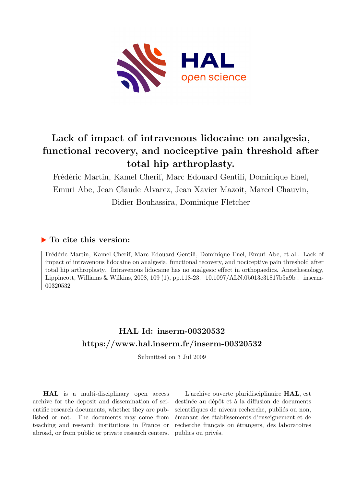

# **Lack of impact of intravenous lidocaine on analgesia, functional recovery, and nociceptive pain threshold after total hip arthroplasty.**

Frédéric Martin, Kamel Cherif, Marc Edouard Gentili, Dominique Enel, Emuri Abe, Jean Claude Alvarez, Jean Xavier Mazoit, Marcel Chauvin, Didier Bouhassira, Dominique Fletcher

## **To cite this version:**

Frédéric Martin, Kamel Cherif, Marc Edouard Gentili, Dominique Enel, Emuri Abe, et al.. Lack of impact of intravenous lidocaine on analgesia, functional recovery, and nociceptive pain threshold after total hip arthroplasty.: Intravenous lidocaine has no analgesic effect in orthopaedics. Anesthesiology, Lippincott, Williams & Wilkins, 2008, 109 (1), pp.118-23.  $10.1097/ALN.0b013e31817b5a9b$ . inserm-00320532

## **HAL Id: inserm-00320532 <https://www.hal.inserm.fr/inserm-00320532>**

Submitted on 3 Jul 2009

**HAL** is a multi-disciplinary open access archive for the deposit and dissemination of scientific research documents, whether they are published or not. The documents may come from teaching and research institutions in France or abroad, or from public or private research centers.

L'archive ouverte pluridisciplinaire **HAL**, est destinée au dépôt et à la diffusion de documents scientifiques de niveau recherche, publiés ou non, émanant des établissements d'enseignement et de recherche français ou étrangers, des laboratoires publics ou privés.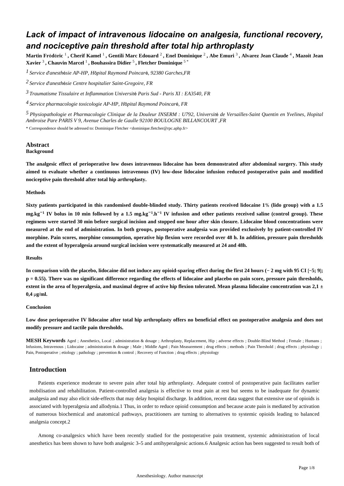## *Lack of impact of intravenous lidocaine on analgesia, functional recovery, and nociceptive pain threshold after total hip arthroplasty*

**Martin Fr d ric** é é <sup>1</sup> **, Cherif Kamel** <sup>1</sup> **, Gentili Marc Edouard** <sup>2</sup> **, Enel Dominique** <sup>2</sup> **, Abe Emuri** <sup>3</sup> **, Alvarez Jean Claude** <sup>4</sup> **, Mazoit Jean Xavier** <sup>3</sup> **, Chauvin Marcel** <sup>1</sup> **, Bouhassira Didier** <sup>5</sup> **, Fletcher Dominique** 5 \*

*Service d anesth sie 1* ' é *AP-HP, H pital Raymond Poincar* ô é*, 92380 Garches,FR*

<sup>2</sup> Service d'anesthésie Centre hospitalier Saint-Gregoire, FR

*Traumatisme Tissulaire et Inflammation 3 Universit Paris Sud - Paris XI : EA3540* <sup>é</sup> *, FR*

<sup>4</sup> Service pharmacologie toxicologie AP-HP, Hôpital Raymond Poincaré, FR

<sup>5</sup> Physiopathologie et Pharmacologie Clinique de la Douleur INSERM : U792, Université de Versailles-Saint Quentin en Yvelines, Hopital *Ambroise Pare PARIS V 9, Avenue Charles de Gaulle 92100 BOULOGNE BILLANCOURT ,FR*

\* Correspondence should be adressed to: Dominique Fletcher <dominique.fletcher@rpc.aphp.fr>

## **Abstract**

## **Background**

**The analgesic effect of perioperative low doses intravenous lidocaine has been demonstrated after abdominal surgery. This study aimed to evaluate whether a continuous intravenous (IV) low-dose lidocaine infusion reduced postoperative pain and modified nociceptive pain threshold after total hip arthroplasty.**

#### **Methods**

Sixty patients participated in this randomised double-blinded study. Thirty patients received lidocaine 1% (lido group) with a 1.5  $mg.kg^{-1}$  IV bolus in 10 min followed by a 1.5 mg.kg<sup>-1</sup>.h<sup>-1</sup> IV infusion and other patients received saline (control group). These **regimens were started 30 min before surgical incision and stopped one hour after skin closure. Lidocaine blood concentrations were measured at the end of administration. In both groups, postoperative analgesia was provided exclusively by patient-controlled IV morphine. Pain scores, morphine consumption, operative hip flexion were recorded over 48 h. In addition, pressure pain thresholds and the extent of hyperalgesia around surgical incision were systematically measured at 24 and 48h.**

#### **Results**

In comparison with the placebo, lidocaine did not induce any opioid-sparing effect during the first 24 hours ( $-$  2 mg with 95 CI [−5; 9];  $p = 0.55$ ). There was no significant difference regarding the effects of lidocaine and placebo on pain score, pressure pain thresholds, **extent in the area of hyperalgesia, and maximal degree of active hip flexion tolerated. Mean plasma lidocaine concentration was 2,1** ± **0.4** μg/ml.

#### **Conclusion**

**Low dose perioperative IV lidocaine after total hip arthroplasty offers no beneficial effect on postoperative analgesia and does not modify pressure and tactile pain thresholds.**

**MESH Keywords** Aged ; Anesthetics, Local ; administration & dosage ; Arthroplasty, Replacement, Hip ; adverse effects ; Double-Blind Method ; Female ; Humans ; Infusions, Intravenous ; Lidocaine ; administration & dosage ; Male ; Middle Aged ; Pain Measurement ; drug effects ; methods ; Pain Threshold ; drug effects ; physiology ; Pain, Postoperative ; etiology ; pathology ; prevention & control ; Recovery of Function ; drug effects ; physiology

### **Introduction**

Patients experience moderate to severe pain after total hip arthroplasty. Adequate control of postoperative pain facilitates earlier mobilisation and rehabilitation. Patient-controlled analgesia is effective to treat pain at rest but seems to be inadequate for dynamic analgesia and may also elicit side-effects that may delay hospital discharge. In addition, recent data suggest that extensive use of opioids is associated with hyperalgesia and allodynia.1 Thus, in order to reduce opioid consumption and because acute pain is mediated by activation of numerous biochemical and anatomical pathways, practitioners are turning to alternatives to systemic opioids leading to balanced analgesia concept.2

Among co-analgesics which have been recently studied for the postoperative pain treatment, systemic administration of local anesthetics has been shown to have both analgesic 3–5 and antihyperalgesic actions. 6 Analgesic action has been suggested to result both of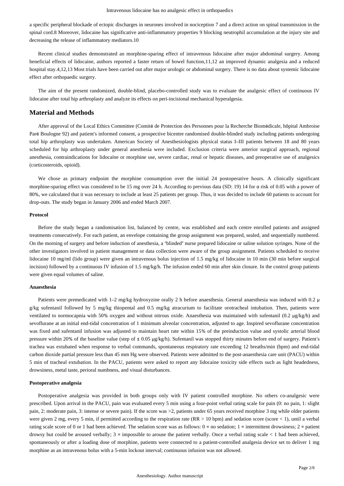a specific peripheral blockade of ectopic discharges in neurones involved in nociception 7 and a direct action on spinal transmission in the spinal cord.8 Moreover, lidocaine has significative anti-inflammatory properties 9 blocking neutrophil accumulation at the injury site and decreasing the release of inflammatory mediators.10

Recent clinical studies demonstrated an morphine-sparing effect of intravenous lidocaine after major abdominal surgery. Among beneficial effects of lidocaine, authors reported a faster return of bowel function, 11,12 an improved dynamic analgesia and a reduced hospital stay.4,12,13 Most trials have been carried out after major urologic or abdominal surgery. There is no data about systemic lidocaine effect after orthopaedic surgery.

The aim of the present randomized, double-blind, placebo-controlled study was to evaluate the analgesic effect of continuous IV lidocaine after total hip arthroplasty and analyze its effects on peri-incisional mechanical hyperalgesia.

### **Material and Methods**

After approval of the Local Ethics Committee (Comité de Protection des Personnes pour la Recherche Biomédicale, hôpital Ambroise Paré Boulogne 92) and patient's informed consent, a prospective bicentre randomised double-blinded study including patients undergoing total hip arthroplasty was undertaken. American Society of Anesthesiologists physical status I-III patients between 18 and 80 years scheduled for hip arthroplasty under general anesthesia were included. Exclusion criteria were anterior surgical approach, regional anesthesia, contraindications for lidoca ne or morphine use, severe cardiac, renal or hepatic diseases, and preoperative use of analgesics (corticosteroids, opioid).

We chose as primary endpoint the morphine consumption over the initial 24 postoperative hours. A clinically significant morphine-sparing effect was considered to be 15 mg over 24 h. According to previous data (SD: 19) 14 for  $\alpha$  risk of 0.05 with a power of 80%, we calculated that it was necessary to include at least 25 patients per group. Thus, it was decided to include 60 patients to account for drop-outs. The study began in January 2006 and ended March 2007.

#### **Protocol**

Before the study began a randomisation list, balanced by centre, was established and each centre enrolled patients and assigned treatments consecutively. For each patient, an envelope containing the group assignment was prepared, sealed, and sequentially numbered. On the morning of surgery and before induction of anesthesia, a "blinded" nurse prepared lidocaine or saline solution syringes. None of the other investigators involved in patient management or data collection were aware of the group assignment. Patients scheduled to receive lidocaine 10 mg/ml (lido group) were given an intravenous bolus injection of 1.5 mg/kg of lidocaine in 10 min (30 min before surgical incision) followed by a continuous IV infusion of 1.5 mg/kg/h. The infusion ended 60 min after skin closure. In the control group patients were given equal volumes of saline.

#### **Anaesthesia**

Patients were premedicated with 1-2 mg/kg hydroxyzine orally 2 h before anaesthesia. General anaesthesia was induced with 0.2 μ g/kg sufentanil followed by 5 mg/kg thiopental and 0.5 mg/kg atracurium to facilitate orotracheal intubation. Then, patients were ventilated to normocapnia with 50% oxygen and without nitrous oxide. Anaesthesia was maintained with sufentanil (0.2 μg/kg/h) and sevoflurane at an initial end-tidal concentration of 1 minimum alveolar concentration, adjusted to age. Inspired sevoflurane concentration was fixed and sufentanil infusion was adjusted to maintain heart rate within 15% of the preinduction value and systolic arterial blood pressure within 20% of the baseline value (step of  $\pm 0.05 \mu g/kg/h$ ). Sufentanil was stopped thirty minutes before end of surgery. Patient's trachea was extubated when response to verbal commands, spontaneous respiratory rate exceeding 12 breaths/min (bpm) and end-tidal carbon dioxide partial pressure less than 45 mm Hg were observed. Patients were admitted to the post-anaesthesia care unit (PACU) within 5 min of tracheal extubation. In the PACU, patients were asked to report any lidocaine toxicity side effects such as light headedness, drowsiness, metal taste, perioral numbness, and visual disturbances.

#### **Postoperative analgesia**

Postoperative analgesia was provided in both groups only with IV patient controlled morphine. No others co-analgesic were prescribed. Upon arrival in the PACU, pain was evaluated every 5 min using a four-point verbal rating scale for pain (0: no pain, 1: slight pain, 2: moderate pain, 3: intense or severe pain). If the score was >2, patients under 65 years received morphine 3 mg while older patients were given 2 mg, every 5 min, if permitted according to the respiration rate  $(RR > 10$  bpm) and sedation score (score < 1), until a verbal rating scale score of 0 or 1 had been achieved. The sedation score was as follows:  $0 =$  no sedation;  $1 =$  intermittent drowsiness;  $2 =$  patient drowsy but could be aroused verbally;  $3 =$  impossible to arouse the patient verbally. Once a verbal rating scale  $\lt 1$  had been achieved, spontaneously or after a loading dose of morphine, patients were connected to a patient-controlled analgesia device set to deliver 1 mg morphine as an intravenous bolus with a 5-min lockout interval; continuous infusion was not allowed.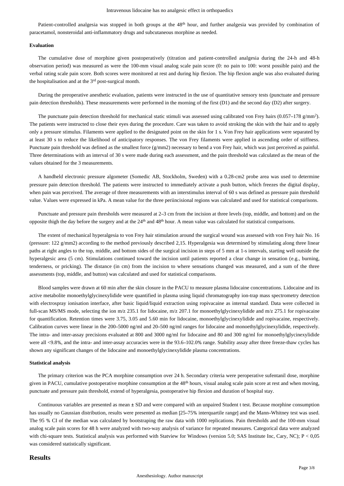Patient-controlled analgesia was stopped in both groups at the 48<sup>th</sup> hour, and further analgesia was provided by combination of paracetamol, nonsteroidal anti-inflammatory drugs and subcutaneous morphine as needed.

#### **Evaluation**

The cumulative dose of morphine given postoperatively (titration and patient-controlled analgesia during the 24-h and 48-h observation period) was measured as were the 100-mm visual analog scale pain score (0: no pain to 100: worst possible pain) and the verbal rating scale pain score. Both scores were monitored at rest and during hip flexion. The hip flexion angle was also evaluated during the hospitalisation and at the  $3<sup>rd</sup>$  post-surgical month.

During the preoperative anesthetic evaluation, patients were instructed in the use of quantitative sensory tests (punctuate and pressure pain detection thresholds). These measurements were performed in the morning of the first (D1) and the second day (D2) after surgery.

The punctuate pain detection threshold for mechanical static stimuli was assessed using calibrated von Frey hairs  $(0.057 - 178 \text{ g/mm}^2)$ . The patients were instructed to close their eyes during the procedure. Care was taken to avoid stroking the skin with the hair and to apply only a pressure stimulus. Filaments were applied to the designated point on the skin for 1 s. Von Frey hair applications were separated by at least 30 s to reduce the likelihood of anticipatory responses. The von Frey filaments were applied in ascending order of stiffness. Punctuate pain threshold was defined as the smallest force (g/mm2) necessary to bend a von Frey hair, which was just perceived as painful. Three determinations with an interval of 30 s were made during each assessment, and the pain threshold was calculated as the mean of the values obtained for the 3 measurements.

A handheld electronic pressure algometer (Somedic AB, Stockholm, Sweden) with a 0.28-cm2 probe area was used to determine pressure pain detection threshold. The patients were instructed to immediately activate a push button, which freezes the digital display, when pain was perceived. The average of three measurements with an interstimulus interval of 60 s was defined as pressure pain threshold value. Values were expressed in kPa. A mean value for the three periincisional regions was calculated and used for statistical comparisons.

Punctuate and pressure pain thresholds were measured at 2–3 cm from the incision at three levels (top, middle, and bottom) and on the opposite thigh the day before the surgery and at the  $24<sup>th</sup>$  and  $48<sup>th</sup>$  hour. A mean value was calculated for statistical comparisons.

The extent of mechanical hyperalgesia to von Frey hair stimulation around the surgical wound was assessed with von Frey hair No. 16 (pressure: 122 g/mm2) according to the method previously described 2,15. Hyperalgesia was determined by stimulating along three linear paths at right angles to the top, middle, and bottom sides of the surgical incision in steps of 5 mm at 1-s intervals, starting well outside the hyperalgesic area (5 cm). Stimulations continued toward the incision until patients reported a clear change in sensation (e.g., burning, tenderness, or pricking). The distance (in cm) from the incision to where sensations changed was measured, and a sum of the three assessments (top, middle, and button) was calculated and used for statistical comparisons.

Blood samples were drawn at 60 min after the skin closure in the PACU to measure plasma lidocaine concentrations. Lidocaine and its active metabolite monoethylglycinexylidide were quantified in plasma using liquid chromatography ion-trap mass spectrometry detection with electrospray ionisation interface, after basic liquid/liquid extraction using ropivacaine as internal standard. Data were collected in full-scan MS/MS mode, selecting the ion m/z 235.1 for lidocaine, m/z 207.1 for monoethylglycinexylidide and m/z 275.1 for ropivacaine for quantification. Retention times were 3.75, 3.05 and 5.60 min for lidocaine, monoethylglycinexylidide and ropivacaine, respectively. Calibration curves were linear in the 200–5000 ng/ml and 20–500 ng/ml ranges for lidocaine and monoethylglycinexylidide, respectively. The intra- and inter-assay precisions evaluated at 800 and 3000 ng/ml for lidocaine and 80 and 300 ng/ml for monoethylglycinexylidide were all <9.8%, and the intra- and inter-assay accuracies were in the 93.6–102.0% range. Stability assay after three freeze-thaw cycles has shown any significant changes of the lidocaine and monoethylglycinexylidide plasma concentrations.

#### **Statistical analysis**

The primary criterion was the PCA morphine consumption over 24 h. Secondary criteria were peroperative sufentanil dose, morphine given in PACU, cumulative postoperative morphine consumption at the  $48<sup>th</sup>$  hours, visual analog scale pain score at rest and when moving, punctuate and pressure pain threshold, extend of hyperalgesia, postoperative hip flexion and duration of hospital stay.

Continuous variables are presented as mean  $\pm$  SD and were compared with an unpaired Student t test. Because morphine consumption has usually no Gaussian distribution, results were presented as median [25-75% interquartile range] and the Mann-Whitney test was used. The 95 % CI of the median was calculated by bootstraping the raw data with 1000 replications. Pain thresholds and the 100-mm visual analog scale pain scores for 48 h were analyzed with two-way analysis of variance for repeated measures. Categorical data were analyzed with chi-square tests. Statistical analysis was performed with Statview for Windows (version 5.0; SAS Institute Inc, Cary, NC);  $P < 0.05$ was considered statistically significant.

## **Results**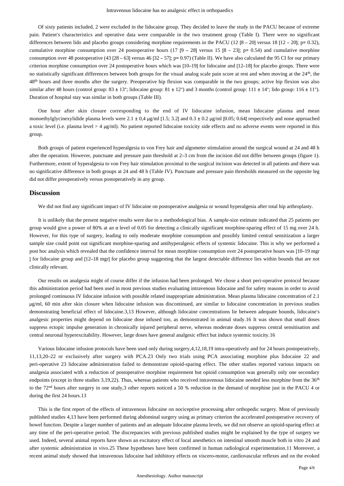Of sixty patients included, 2 were excluded in the lidocaine group. They decided to leave the study in the PACU because of extreme pain. Patient's characteristics and operative data were comparable in the two treatment group (Table I). There were no significant differences between lido and placebo groups considering morphine requirements in the PACU (12 [8 – 20] versus 18 [12 – 20]; p= 0.32), cumulative morphine consumption over 24 postoperative hours (17 [9 – 28] versus 15 [8 – 23]; p= 0.54) and cumulative morphine consumption over 48 postoperative (43 [28 – 63] versus 46 [32 – 57]; p= 0.97) (Table II). We have also calculated the 95 CI for our primary criterion morphine consumption over 24 postoperative hours which was  $[10-19]$  for lidocaine and  $[12-18]$  for placebo groups. There were no statistically significant differences between both groups for the visual analog scale pain score at rest and when moving at the  $24<sup>th</sup>$ , the 48<sup>th</sup> hours and three months after the surgery. Preoperative hip flexion was comparable in the two groups; active hip flexion was also similar after 48 hours (control group:  $83 \pm 13^\circ$ ; lidocaine group:  $81 \pm 12^\circ$ ) and 3 months (control group:  $111 \pm 14^\circ$ ; lido group:  $116 \pm 11^\circ$ ). Duration of hospital stay was similar in both groups (Table III).

One hour after skin closure corresponding to the end of IV lidocaine infusion, mean lidocaine plasma and mean monoethylglycinexylidide plasma levels were 2.1  $\pm$  0,4  $\mu$ g/ml [1.5; 3.2] and 0.3  $\pm$  0.2  $\mu$ g/ml [0.05; 0.64] respectively and none approached a toxic level (i.e. plasma level  $> 4 \mu$ g/ml). No patient reported lidocaine toxicity side effects and no adverse events were reported in this group.

Both groups of patient experienced hyperalgesia to von Frey hair and algometer stimulation around the surgical wound at 24 and 48 h after the operation. However, punctuate and pressure pain threshold at 2–3 cm from the incision did not differ between groups (figure 1). Furthermore, extent of hyperalgesia to von Frey hair stimulation proximal to the surgical incision was detected in all patients and there was no significative difference in both groups at 24 and 48 h (Table IV). Punctuate and pressure pain thresholds measured on the opposite leg did not differ preoperatively versus postoperatively in any group.

### **Discussion**

We did not find any significant impact of IV lidocaine on postoperative analgesia or wound hyperalgesia after total hip arthroplasty.

It is unlikely that the present negative results were due to a methodological bias. A sample-size estimate indicated that 25 patients per group would give a power of 80% at an  $\alpha$  level of 0.05 for detecting a clinically significant morphine-sparing effect of 15 mg over 24 h. However, for this type of surgery, leading to only moderate morphine consumption and possibly limited central sensitization a larger sample size could point out significant morphine-sparing and antihyperalgesic effects of systemic lidocaine. This is why we performed a post hoc analysis which revealed that the confidence interval for mean morphine consumption over 24 postoperative hours was  $[10-19$  mgr 1 for lidocaine group and  $[12-18 \text{ mgr}]$  for placebo group suggesting that the largest detectable difference lies within bounds that are not clinically relevant.

Our results on analgesia might of course differ if the infusion had been prolonged. We chose a short peri-operative protocol because this administration period had been used in most previous studies evaluating intravenous lidocaine and for safety reasons in order to avoid prolonged continuous IV lidocaine infusion with possible related inappropriate administration. Mean plasma lidocaine concentration of 2.1 μg/ml, 60 min after skin closure when lidocaine infusion was discontinued, are similar to lidocaine concentration in previous studies demonstrating beneficial effect of lidocaine.3,13 However, although lidocaine concentrations lie between adequate bounds, lidocaine's analgesic properties might depend on lidocaine dose infused too, as demonstrated in animal study. 16 It was shown that small doses suppress ectopic impulse generation in chronically injured peripheral nerve, whereas moderate doses suppress central sensitisation and central neuronal hyperexcitability. However, large doses have general analgesic effect but induce systemic toxicity.16

Various lidocaine infusion protocols have been used only during surgery, 4, 12, 18, 19 intra-operatively and for 24 hours postoperatively, 11,13,20-22 or exclusively after surgery with PCA.23 Only two trials using PCA associating morphine plus lidocaine 22 and peri-operative 23 lidocaine administration failed to demonstrate opioid-sparing effect. The other studies reported various impacts on analgesia associated with a reduction of postoperative morphine requirement but opioid consumption was generally only one secondary endpoints (except in three studies 3,19,22). Thus, whereas patients who received intravenous lidocaine needed less morphine from the  $36<sup>th</sup>$ to the 72<sup>nd</sup> hours after surgery in one study, 3 other reports noticed a 50 % reduction in the demand of morphine just in the PACU 4 or during the first 24 hours.13

This is the first report of the effects of intravenous lidocaine on nociceptive processing after orthopedic surgery. Most of previously published studies 4,13 have been performed during abdominal surgery using as primary criterion the accelerated postoperative recovery of bowel function. Despite a larger number of patients and an adequate lidocaine plasma levels, we did not observe an opioid-sparing effect at any time of the peri-operative period. The discrepancies with previous published studies might be explained by the type of surgery we used. Indeed, several animal reports have shown an excitatory effect of local anesthetics on intestinal smooth muscle both in vitro 24 and after systemic administration in vivo. 25 These hypotheses have been confirmed in human radiological experimentation. 11 Moreover, a recent animal study showed that intravenous lidocaine had inhibitory effects on viscero-motor, cardiovascular reflexes and on the evoked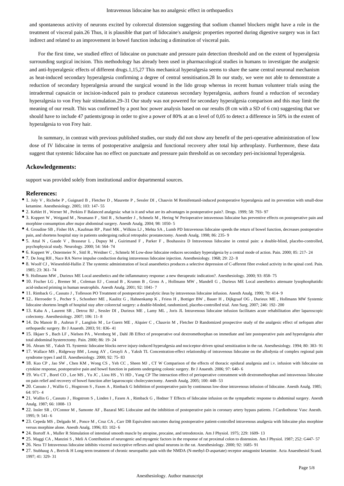and spontaneous activity of neurons excited by colorectal distension suggesting that sodium channel blockers might have a role in the treatment of visceral pain. 26 Thus, it is plausible that part of lidocaine's analgesic properties reported during digestive surgery was in fact indirect and related to an improvement in bowel function inducing a diminution of visceral pain.

For the first time, we studied effect of lidocaine on punctuate and pressure pain detection threshold and on the extent of hyperalgesia surrounding surgical incision. This methodology has already been used in pharmacological studies in humans to investigate the analgesic and anti-hyperalgesic effects of different drugs. 1, 15,27 This mechanical hyperalgesia seems to share the same central neuronal mechanism as heat-induced secondary hyperalgesia confirming a degree of central sensitisation. 28 In our study, we were not able to demonstrate a reduction of secondary hyperalgesia around the surgical wound in the lido group whereas in recent human volunteer trials using the intradermal capsaicin or incision-induced pain to produce cutaneous secondary hyperalgesia, authors found a reduction of secondary hyperalgesia to von Frey hair stimulation. 29–31 Our study was not powered for secondary hyperalgesia comparison and this may limit the meaning of our result. This was confirmed by a post hoc power analysis based on our results (8 cm with a SD of 6 cm) suggesting that we should have to include 47 patients/group in order to give a power of 80% at an  $\alpha$  level of 0,05 to detect a difference in 50% in the extent of hyperalgesia to von Frey hair.

In summary, in contrast with previous published studies, our study did not show any benefit of the peri-operative administration of low dose of IV lidocaine in terms of postoperative analgesia and functional recovery after total hip arthroplasty. Furthermore, these data suggest that systemic lidocaine has no effect on punctuate and pressure pain threshold as on secondary peri-incisionnal hyperalgesia.

#### **Ackowledgements:**

support was provided solely from institutional and/or departmental sources.

#### **References:**

- 1. Joly V , Richebe P , Guignard B , Fletcher D , Maurette P , Sessler DI , Chauvin M Remifentanil-induced postoperative hyperalgesia and its prevention with small-dose ketamine. Anesthesiology. 2005; 103: 147- 55
- 2. Kehlet H , Werner M , Perkins F Balanced analgesia: what is it and what are its advantages in postoperative pain?. Drugs. 1999; 58: 793- 97
- 3. Koppert W , Weigand M , Neumann F , Sittl R , Schuettler J , Schmelz M , Hering W Perioperative intravenous lidocaine has preventive effects on postoperative pain and morphine consumption after major abdominal surgery. Anesth Analg. 2004; 98: 1050- 5
- 4. Groudine SB , Fisher HA , Kaufman RP , Patel MK , Wilkins LJ , Mehta SA , Lumb PD Intravenous lidocaine speeds the return of bowel function, decreases postoperative pain, and shortens hospital stay in patients undergoing radical retropubic prostatectomy. Anesth Analg. 1998; 86: 235- 9
- 5. Attal N , Gaude V , Brasseur L , Dupuy M , Guirimand F , Parker F , Bouhassira D Intravenous lidocaine in central pain: a double-blind, placebo-controlled, psychophysical study. Neurology. 2000; 54: 564- 74
- 6. Koppert W , Ostermeier N , Sittl R , Weidner C , Schmelz M Low-dose lidocaine reduces secondary hyperalgesia by a central mode of action. Pain. 2000; 85: 217- 24
- 7. De Jong RH , Nace RA Nerve impulse conduction during intravenous lidocaine injection. Anesthesiology. 1968; 29: 22- 8
- 8. Woolf CJ , Wiesenfeld-Hallin Z The systemic administration of local anaesthetics produces a selective depression of C-afferent fibre evoked activity in the spinal cord. Pain. 1985; 23: 361- 74
- 9. Hollmann MW , Durieux ME Local anesthetics and the inflammatory response: a new therapeutic indication?. Anesthesiology. 2000; 93: 858- 75
- 10. Fischer LG , Bremer M , Coleman EJ , Conrad B , Krumm B , Gross A , Hollmann MW , Mandell G , Durieux ME Local anesthetics attenuate lysophosphatidic acid-induced priming in human neutrophils. Anesth Analg. 2001; 92: 1041- 7
- 11. Rimback G , Cassuto J , Tollesson PO Treatment of postoperative paralytic ileus by intravenous lidocaine infusion. Anesth Analg. 1990; 70: 414- 9
- 12.. Herroeder S , Pecher S , Schonherr ME , Kaulitz G , Hahnenkamp K , Friess H , Bottiger BW , Bauer H , Dijkgraaf OG , Durieux ME , Hollmann MW Systemic lidocaine shortens length of hospital stay after colorectal surgery: a double-blinded, randomized, placebo-controlled trial. Ann Surg. 2007; 246: 192- 200
- 13. Kaba A , Laurent SR , Detroz BJ , Sessler DI , Durieux ME , Lamy ML , Joris JL Intravenous lidocaine infusion facilitates acute rehabilitation after laparoscopic colectomy. Anesthesiology. 2007; 106: 11- 8
- 14. Du Manoir B , Aubrun F , Langlois M , Le Guern ME , Alquier C , Chauvin M , Fletcher D Randomized prospective study of the analgesic effect of nefopam after orthopaedic surgery. Br J Anaesth. 2003; 91: 836- 41
- 15. Ilkjaer S , Bach LF , Nielsen PA , Wernberg M , Dahl JB Effect of preoperative oral dextromethorphan on immediate and late postoperative pain and hyperalgesia after total abdominal hysterectomy. Pain. 2000; 86: 19- 24
- 16. Abram SE , Yaksh TL Systemic lidocaine blocks nerve injury-induced hyperalgesia and nociceptor-driven spinal sensitization in the rat. Anesthesiology. 1994; 80: 383- 91
- 17. Wallace MS , Ridgeway BM , Leung AY , Gerayli A , Yaksh TL Concentration-effect relationship of intravenous lidocaine on the allodynia of complex regional pain syndrome types I and II. Anesthesiology. 2000; 92: 75- 83
- 18. Kuo CP , Jao SW , Chen KM , Wong CS , Yeh CC , Sheen MJ , CT W Comparison of the effects of thoracic epidural analgesia and i.v. infusion with lidocaine on cytokine response, postoperative pain and bowel function in patients undergoing colonic surgery. Br J Anaesth. 2006; 97: 640- 6
- 19. Wu CT , Borel CO , Lee MS , Yu JC , Liou HS , Yi HD , Yang CP The interaction effect of perioperative cotreatment with dextromethorphan and intravenous lidocaine on pain relief and recovery of bowel function after laparoscopic cholecystectomy. Anesth Analg. 2005; 100: 448- 53
- 20. Cassuto J , Wallin G , Hogstrom S , Faxen A , Rimback G Inhibition of postoperative pain by continuous low-dose intravenous infusion of lidocaine. Anesth Analg. 1985; 64: 971- 4
- 21. Wallin G, Cassuto J, Hogstrom S, Linden I, Faxen A, Rimback G, Hedner T Effects of lidocaine infusion on the sympathetic response to abdominal surgery. Anesth Analg. 1987; 66: 1008- 13
- 22. Insler SR, O'Connor M, Samonte AF, Bazaral MG Lidocaine and the inhibition of postoperative pain in coronary artery bypass patients. J Cardiothorac Vasc Anesth. 1995; 9: 541- 6
- 23. Cepeda MS , Delgado M , Ponce M , Cruz CA , Carr DB Equivalent outcomes during postoperative patient-controlled intravenous analgesia with lidocaine plus morphine versus morphine alone. Anesth Analg. 1996; 83: 102- 6
- 24. Bortoff A , Muller R Stimulation of intestinal smooth muscle by atropine, procaine, and tetrodotoxin. Am J Physiol. 1975; 229: 1609- 13
- 25. Maggi CA, Manzini S, Meli A Contribution of neurogenic and myogenic factors in the response of rat proximal colon to distension. Am J Physiol. 1987; 252: G447- 57
- 26. Ness TJ Intravenous lidocaine inhibits visceral nociceptive reflexes and spinal neurons in the rat. Anesthesiology. 2000; 92: 1685- 91
- 27. Stubhaug A , Breivik H Long-term treatment of chronic neuropathic pain with the NMDA (N-methyl-D-aspartate) receptor antagonist ketamine. Acta Anaesthesiol Scand. 1997; 41: 329- 31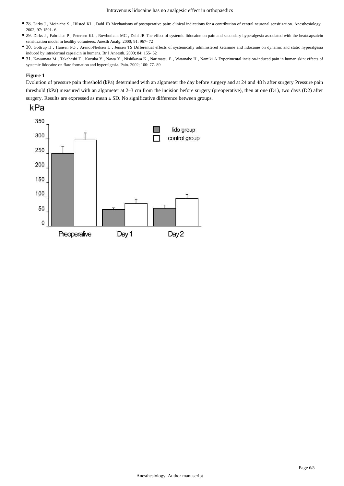- 28. Dirks J , Moiniche S , Hilsted KL , Dahl JB Mechanisms of postoperative pain: clinical indications for a contribution of central neuronal sensitization. Anesthesiology. 2002; 97: 1591- 6
- 29. Dirks J , Fabricius P , Petersen KL , Rowbotham MC , Dahl JB The effect of systemic lidocaine on pain and secondary hyperalgesia associated with the heat/capsaicin sensitization model in healthy volunteers. Anesth Analg. 2000; 91: 967- 72
- 30. Gottrup H , Hansen PO , Arendt-Nielsen L , Jensen TS Differential effects of systemically administered ketamine and lidocaine on dynamic and static hyperalgesia induced by intradermal capsaicin in humans. Br J Anaesth. 2000; 84: 155- 62
- 31. Kawamata M , Takahashi T , Kozuka Y , Nawa Y , Nishikawa K , Narimatsu E , Watanabe H , Namiki A Experimental incision-induced pain in human skin: effects of systemic lidocaine on flare formation and hyperalgesia. Pain. 2002; 100: 77- 89

#### **Figure 1**

Evolution of pressure pain threshold (kPa) determined with an algometer the day before surgery and at 24 and 48 h after surgery Pressure pain threshold (kPa) measured with an algometer at  $2-3$  cm from the incision before surgery (preoperative), then at one (D1), two days (D2) after surgery. Results are expressed as mean  $\pm$  SD. No significative difference between groups.



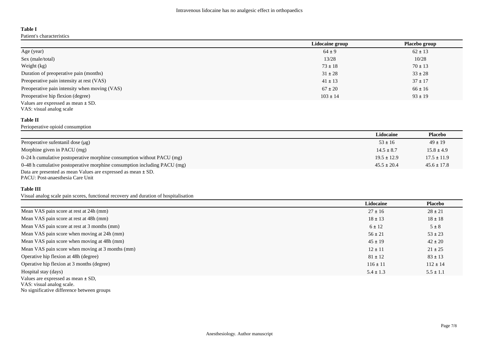## **Table I**

Patient's characteristics

|                                               | Lidocaine group | Placebo group |
|-----------------------------------------------|-----------------|---------------|
| Age (year)                                    | $64 \pm 9$      | $62 \pm 13$   |
| Sex (male/total)                              | 13/28           | 10/28         |
| Weight (kg)                                   | $73 \pm 18$     | $70 \pm 13$   |
| Duration of preoperative pain (months)        | $31 \pm 28$     | $33 \pm 28$   |
| Preoperative pain intensity at rest (VAS)     | $41 \pm 13$     | $37 \pm 17$   |
| Preoperative pain intensity when moving (VAS) | $67 \pm 20$     | $66 \pm 16$   |
| Preoperative hip flexion (degree)             | $103 \pm 14$    | $93 \pm 19$   |
| Values are expressed as mean $\pm$ SD.        |                 |               |

#### **Table II**

Perioperative opioid consumption

VAS: visual analog scale

|                                                                          | Lidocaine       | Placebo         |
|--------------------------------------------------------------------------|-----------------|-----------------|
| Peroperative sufentanil dose $(\mu g)$                                   | $53 \pm 16$     | $49 \pm 19$     |
| Morphine given in PACU (mg)                                              | $14.5 \pm 8.7$  | $15.8 \pm 4.9$  |
| 0–24 h cumulative postoperative morphine consumption without PACU (mg)   | $19.5 \pm 12.9$ | $17.5 \pm 11.9$ |
| 0–48 h cumulative postoperative morphine consumption including PACU (mg) | $45.5 \pm 20.4$ | $45.6 \pm 17.8$ |
| Data are presented as mean Values are expressed as mean $\pm$ SD.        |                 |                 |

PACU: Post-anaesthesia Care Unit

### **Table III**

Visual analog scale pain scores, functional recovery and duration of hospitalisation

|                                                  | Lidocaine     | Placebo       |
|--------------------------------------------------|---------------|---------------|
| Mean VAS pain score at rest at 24h (mm)          | $27 \pm 16$   | $28 \pm 21$   |
| Mean VAS pain score at rest at 48h (mm)          | $18 \pm 13$   | $18 \pm 18$   |
| Mean VAS pain score at rest at 3 months (mm)     | $6 \pm 12$    | $5 \pm 8$     |
| Mean VAS pain score when moving at 24h (mm)      | $56 \pm 21$   | $53 \pm 23$   |
| Mean VAS pain score when moving at 48h (mm)      | $45 \pm 19$   | $42 \pm 20$   |
| Mean VAS pain score when moving at 3 months (mm) | $12 \pm 11$   | $21 \pm 25$   |
| Operative hip flexion at 48h (degree)            | $81 \pm 12$   | $83 \pm 13$   |
| Operative hip flexion at 3 months (degree)       | $116 \pm 11$  | $112 \pm 14$  |
| Hospital stay (days)                             | $5.4 \pm 1.3$ | $5.5 \pm 1.1$ |
| Values are expressed as mean $\pm$ SD,           |               |               |

VAS: visual analog scale.

No significative difference between groups